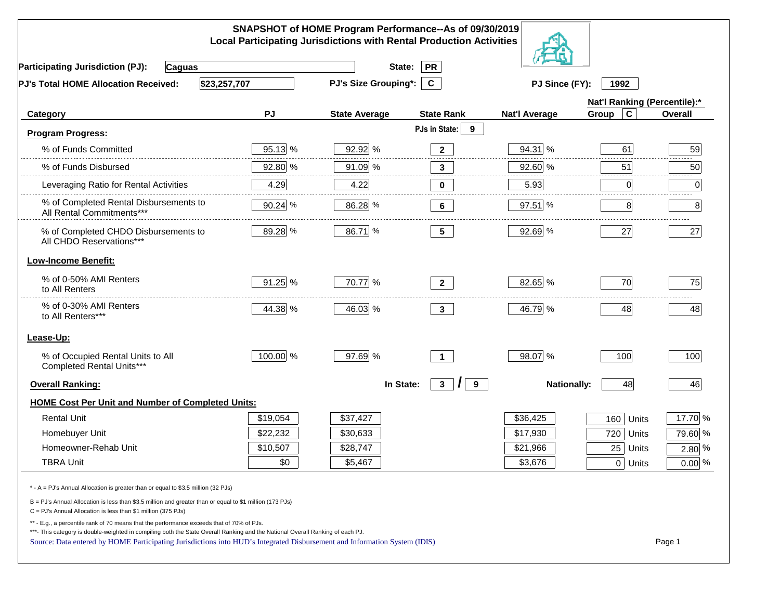|                                                                                                                                                                                                                                                                                                                                                          |          | SNAPSHOT of HOME Program Performance--As of 09/30/2019<br><b>Local Participating Jurisdictions with Rental Production Activities</b> |                                 |                      |                              |          |
|----------------------------------------------------------------------------------------------------------------------------------------------------------------------------------------------------------------------------------------------------------------------------------------------------------------------------------------------------------|----------|--------------------------------------------------------------------------------------------------------------------------------------|---------------------------------|----------------------|------------------------------|----------|
| <b>Participating Jurisdiction (PJ):</b><br><b>Caguas</b>                                                                                                                                                                                                                                                                                                 |          | State:                                                                                                                               | <b>PR</b>                       |                      |                              |          |
| \$23,257,707<br><b>PJ's Total HOME Allocation Received:</b>                                                                                                                                                                                                                                                                                              |          | <b>PJ's Size Grouping*:</b>                                                                                                          | $\mathbf{C}$                    | PJ Since (FY):       | 1992                         |          |
|                                                                                                                                                                                                                                                                                                                                                          |          |                                                                                                                                      |                                 |                      | Nat'l Ranking (Percentile):* |          |
| Category                                                                                                                                                                                                                                                                                                                                                 | PJ       | <b>State Average</b>                                                                                                                 | <b>State Rank</b>               | <b>Nat'l Average</b> | Group<br>C                   | Overall  |
| Program Progress:                                                                                                                                                                                                                                                                                                                                        |          |                                                                                                                                      | PJs in State:<br>9              |                      |                              |          |
| % of Funds Committed                                                                                                                                                                                                                                                                                                                                     | 95.13 %  | 92.92 %                                                                                                                              | $\mathbf{2}$                    | 94.31 %              | 61                           | 59       |
| % of Funds Disbursed                                                                                                                                                                                                                                                                                                                                     | 92.80 %  | 91.09 %                                                                                                                              | $\mathbf{3}$                    | 92.60 %              | 51                           | 50       |
| Leveraging Ratio for Rental Activities                                                                                                                                                                                                                                                                                                                   | 4.29     | 4.22                                                                                                                                 | 0                               | 5.93                 | $\mathbf 0$                  | 0        |
| % of Completed Rental Disbursements to<br>All Rental Commitments***                                                                                                                                                                                                                                                                                      | 90.24 %  | 86.28 %                                                                                                                              | 6                               | 97.51 %              | 8                            | 8        |
| % of Completed CHDO Disbursements to<br>All CHDO Reservations***                                                                                                                                                                                                                                                                                         | 89.28 %  | 86.71 %                                                                                                                              | 5 <sub>5</sub>                  | 92.69 %              | 27                           | 27       |
| <b>Low-Income Benefit:</b>                                                                                                                                                                                                                                                                                                                               |          |                                                                                                                                      |                                 |                      |                              |          |
| % of 0-50% AMI Renters<br>to All Renters                                                                                                                                                                                                                                                                                                                 | 91.25 %  | 70.77 %                                                                                                                              | $\overline{2}$                  | 82.65 %              | 70                           | 75       |
| % of 0-30% AMI Renters<br>to All Renters***                                                                                                                                                                                                                                                                                                              | 44.38 %  | 46.03 %                                                                                                                              | $\mathbf{3}$                    | 46.79 %              | 48                           | 48       |
| Lease-Up:                                                                                                                                                                                                                                                                                                                                                |          |                                                                                                                                      |                                 |                      |                              |          |
| % of Occupied Rental Units to All<br>Completed Rental Units***                                                                                                                                                                                                                                                                                           | 100.00 % | 97.69 %                                                                                                                              | $\mathbf 1$                     | 98.07 %              | 100                          | 100      |
| <b>Overall Ranking:</b>                                                                                                                                                                                                                                                                                                                                  |          | In State:                                                                                                                            | 3 <sup>1</sup><br>$\prime$<br>9 | <b>Nationally:</b>   | 48                           | 46       |
| <b>HOME Cost Per Unit and Number of Completed Units:</b>                                                                                                                                                                                                                                                                                                 |          |                                                                                                                                      |                                 |                      |                              |          |
| <b>Rental Unit</b>                                                                                                                                                                                                                                                                                                                                       | \$19,054 | \$37,427                                                                                                                             |                                 | \$36,425             | 160<br>Units                 | 17.70 %  |
| Homebuyer Unit                                                                                                                                                                                                                                                                                                                                           | \$22,232 | \$30,633                                                                                                                             |                                 | \$17,930             | 720<br>Units                 | 79.60 %  |
| Homeowner-Rehab Unit                                                                                                                                                                                                                                                                                                                                     | \$10,507 | \$28,747                                                                                                                             |                                 | \$21,966             | 25<br>Units                  | $2.80\%$ |
| <b>TBRA Unit</b>                                                                                                                                                                                                                                                                                                                                         | \$0      | \$5,467                                                                                                                              |                                 | \$3,676              | 0 Units                      | $0.00\%$ |
| * - A = PJ's Annual Allocation is greater than or equal to \$3.5 million (32 PJs)                                                                                                                                                                                                                                                                        |          |                                                                                                                                      |                                 |                      |                              |          |
| B = PJ's Annual Allocation is less than \$3.5 million and greater than or equal to \$1 million (173 PJs)<br>C = PJ's Annual Allocation is less than \$1 million (375 PJs)                                                                                                                                                                                |          |                                                                                                                                      |                                 |                      |                              |          |
| ** - E.g., a percentile rank of 70 means that the performance exceeds that of 70% of PJs.<br>***- This category is double-weighted in compiling both the State Overall Ranking and the National Overall Ranking of each PJ.<br>Source: Data entered by HOME Participating Jurisdictions into HUD's Integrated Disbursement and Information System (IDIS) |          |                                                                                                                                      |                                 |                      |                              | Page 1   |
|                                                                                                                                                                                                                                                                                                                                                          |          |                                                                                                                                      |                                 |                      |                              |          |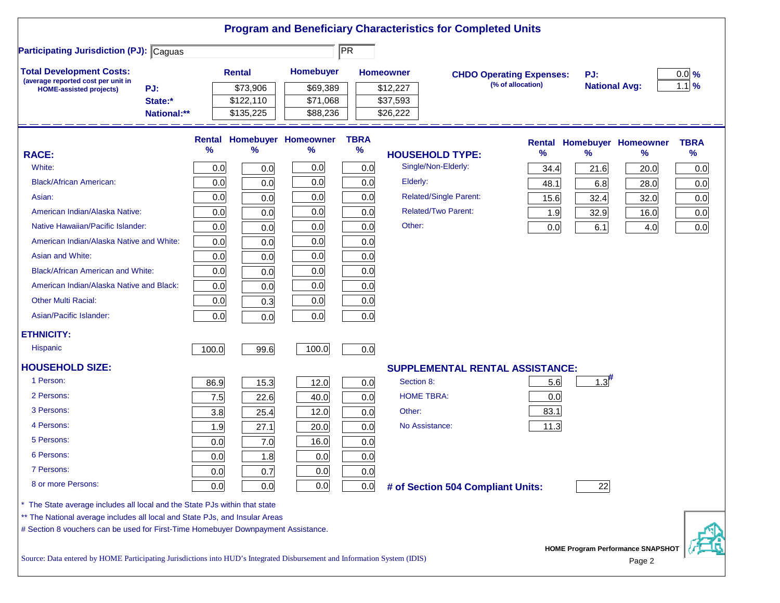| <b>Participating Jurisdiction (PJ): Caguas</b>                                                                                                          |             |       |               |                            | $\overline{\text{PR}}$ |                            |                                        |                   |                      |                                   |                   |
|---------------------------------------------------------------------------------------------------------------------------------------------------------|-------------|-------|---------------|----------------------------|------------------------|----------------------------|----------------------------------------|-------------------|----------------------|-----------------------------------|-------------------|
| <b>Total Development Costs:</b>                                                                                                                         |             |       | <b>Rental</b> | Homebuyer                  |                        | <b>Homeowner</b>           |                                        |                   | PJ:                  |                                   | $0.0\%$           |
| (average reported cost per unit in<br>PJ:                                                                                                               |             |       | \$73,906      | \$69,389                   |                        | \$12,227                   | <b>CHDO Operating Expenses:</b>        | (% of allocation) | <b>National Avg:</b> |                                   | $1.1 \frac{9}{6}$ |
| <b>HOME-assisted projects)</b>                                                                                                                          | State:*     |       | \$122,110     | \$71,068                   |                        | \$37,593                   |                                        |                   |                      |                                   |                   |
|                                                                                                                                                         | National:** |       | \$135,225     | \$88,236                   |                        | \$26,222                   |                                        |                   |                      |                                   |                   |
|                                                                                                                                                         |             |       |               | Rental Homebuyer Homeowner | <b>TBRA</b>            |                            |                                        |                   |                      | <b>Rental Homebuyer Homeowner</b> | <b>TBRA</b>       |
| <b>RACE:</b>                                                                                                                                            |             | %     | %             | ℅                          | $\%$                   | <b>HOUSEHOLD TYPE:</b>     |                                        | %                 | $\frac{9}{6}$        | ℅                                 | $\%$              |
| White:                                                                                                                                                  |             | 0.0   | 0.0           | 0.0                        | 0.0                    | Single/Non-Elderly:        |                                        | 34.4              | 21.6                 | 20.0                              | 0.0               |
| <b>Black/African American:</b>                                                                                                                          |             | 0.0   | 0.0           | 0.0                        | 0.0                    | Elderly:                   |                                        | 48.1              | 6.8                  | 28.0                              | 0.0               |
| Asian:                                                                                                                                                  |             | 0.0   | 0.0           | 0.0                        | 0.0                    |                            | <b>Related/Single Parent:</b>          | 15.6              | 32.4                 | 32.0                              | 0.0               |
| American Indian/Alaska Native:                                                                                                                          |             | 0.0   | 0.0           | 0.0                        | 0.0                    | <b>Related/Two Parent:</b> |                                        | 1.9               | 32.9                 | 16.0                              | 0.0               |
| Native Hawaiian/Pacific Islander:                                                                                                                       |             | 0.0   | 0.0           | 0.0                        | 0.0                    | Other:                     |                                        | 0.0               | 6.1                  | 4.0                               | 0.0               |
| American Indian/Alaska Native and White:                                                                                                                |             | 0.0   | 0.0           | 0.0                        | 0.0                    |                            |                                        |                   |                      |                                   |                   |
| Asian and White:                                                                                                                                        |             | 0.0   | 0.0           | 0.0                        | 0.0                    |                            |                                        |                   |                      |                                   |                   |
| <b>Black/African American and White:</b>                                                                                                                |             | 0.0   | 0.0           | 0.0                        | 0.0                    |                            |                                        |                   |                      |                                   |                   |
| American Indian/Alaska Native and Black:                                                                                                                |             | 0.0   | 0.0           | 0.0                        | 0.0                    |                            |                                        |                   |                      |                                   |                   |
| <b>Other Multi Racial:</b>                                                                                                                              |             | 0.0   | 0.3           | 0.0                        | 0.0                    |                            |                                        |                   |                      |                                   |                   |
| Asian/Pacific Islander:                                                                                                                                 |             | 0.0   | 0.0           | 0.0                        | 0.0                    |                            |                                        |                   |                      |                                   |                   |
| <b>ETHNICITY:</b>                                                                                                                                       |             |       |               |                            |                        |                            |                                        |                   |                      |                                   |                   |
| <b>Hispanic</b>                                                                                                                                         |             | 100.0 | 99.6          | 100.0                      | 0.0                    |                            |                                        |                   |                      |                                   |                   |
| <b>HOUSEHOLD SIZE:</b>                                                                                                                                  |             |       |               |                            |                        |                            | <b>SUPPLEMENTAL RENTAL ASSISTANCE:</b> |                   |                      |                                   |                   |
| 1 Person:                                                                                                                                               |             | 86.9  | 15.3          | 12.0                       | 0.0                    | Section 8:                 |                                        | 5.6               | $1.3^{\#}$           |                                   |                   |
| 2 Persons:                                                                                                                                              |             | 7.5   | 22.6          | 40.0                       | 0.0                    | <b>HOME TBRA:</b>          |                                        | 0.0               |                      |                                   |                   |
| 3 Persons:                                                                                                                                              |             | 3.8   | 25.4          | 12.0                       | 0.0                    | Other:                     |                                        | 83.1              |                      |                                   |                   |
| 4 Persons:                                                                                                                                              |             | 1.9   | 27.1          | 20.0                       | 0.0                    | No Assistance:             |                                        | 11.3              |                      |                                   |                   |
| 5 Persons:                                                                                                                                              |             | 0.0   | 7.0           | 16.0                       | 0.0                    |                            |                                        |                   |                      |                                   |                   |
| 6 Persons:                                                                                                                                              |             | 0.0   | 1.8           | 0.0                        | 0.0                    |                            |                                        |                   |                      |                                   |                   |
| 7 Persons:                                                                                                                                              |             | 0.0   | 0.7           | 0.0                        | 0.0                    |                            |                                        |                   |                      |                                   |                   |
| 8 or more Persons:                                                                                                                                      |             | 0.0   | 0.0           | 0.0                        | 0.0                    |                            | # of Section 504 Compliant Units:      |                   | 22                   |                                   |                   |
|                                                                                                                                                         |             |       |               |                            |                        |                            |                                        |                   |                      |                                   |                   |
| The State average includes all local and the State PJs within that state<br>** The National average includes all local and State PJs, and Insular Areas |             |       |               |                            |                        |                            |                                        |                   |                      |                                   |                   |
| # Section 8 vouchers can be used for First-Time Homebuyer Downpayment Assistance.                                                                       |             |       |               |                            |                        |                            |                                        |                   |                      |                                   |                   |

Source: Data entered by HOME Participating Jurisdictions into HUD's Integrated Disbursement and Information System (IDIS) Page 2